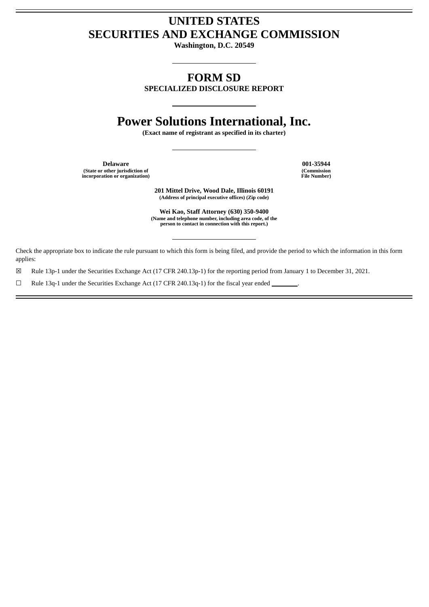## **UNITED STATES SECURITIES AND EXCHANGE COMMISSION**

**Washington, D.C. 20549**

## **FORM SD**

**SPECIALIZED DISCLOSURE REPORT**

# **Power Solutions International, Inc.**

**(Exact name of registrant as specified in its charter)**

**Delaware 001-35944 (State or other jurisdiction of incorporation or organization)**

**(Commission File Number)**

**201 Mittel Drive, Wood Dale, Illinois 60191 (Address of principal executive offices) (Zip code)**

**Wei Kao, Staff Attorney (630) 350-9400** (Name and telephone number, including area code, of the<br>person to contact in connection with this report.)

Check the appropriate box to indicate the rule pursuant to which this form is being filed, and provide the period to which the information in this form applies:

☒ Rule 13p-1 under the Securities Exchange Act (17 CFR 240.13p-1) for the reporting period from January 1 to December 31, 2021.

☐ Rule 13q-1 under the Securities Exchange Act (17 CFR 240.13q-1) for the fiscal year ended .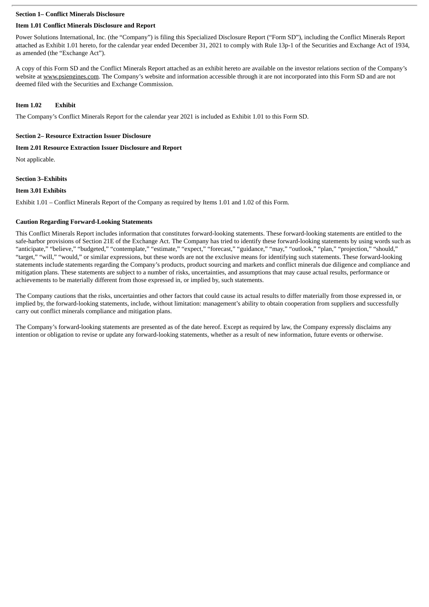## **Section 1– Conflict Minerals Disclosure**

## **Item 1.01 Conflict Minerals Disclosure and Report**

Power Solutions International, Inc. (the "Company") is filing this Specialized Disclosure Report ("Form SD"), including the Conflict Minerals Report attached as Exhibit 1.01 hereto, for the calendar year ended December 31, 2021 to comply with Rule 13p-1 of the Securities and Exchange Act of 1934, as amended (the "Exchange Act").

A copy of this Form SD and the Conflict Minerals Report attached as an exhibit hereto are available on the investor relations section of the Company's website at www.psiengines.com. The Company's website and information accessible through it are not incorporated into this Form SD and are not deemed filed with the Securities and Exchange Commission.

## **Item 1.02 Exhibit**

The Company's Conflict Minerals Report for the calendar year 2021 is included as Exhibit 1.01 to this Form SD.

## **Section 2– Resource Extraction Issuer Disclosure**

## **Item 2.01 Resource Extraction Issuer Disclosure and Report**

Not applicable.

## **Section 3–Exhibits**

## **Item 3.01 Exhibits**

Exhibit 1.01 – Conflict Minerals Report of the Company as required by Items 1.01 and 1.02 of this Form.

## **Caution Regarding Forward-Looking Statements**

This Conflict Minerals Report includes information that constitutes forward-looking statements. These forward-looking statements are entitled to the safe-harbor provisions of Section 21E of the Exchange Act. The Company has tried to identify these forward-looking statements by using words such as "anticipate," "believe," "budgeted," "contemplate," "estimate," "expect," "forecast," "guidance," "may," "outlook," "plan," "projection," "should," "target," "will," "would," or similar expressions, but these words are not the exclusive means for identifying such statements. These forward-looking statements include statements regarding the Company's products, product sourcing and markets and conflict minerals due diligence and compliance and mitigation plans. These statements are subject to a number of risks, uncertainties, and assumptions that may cause actual results, performance or achievements to be materially different from those expressed in, or implied by, such statements.

The Company cautions that the risks, uncertainties and other factors that could cause its actual results to differ materially from those expressed in, or implied by, the forward-looking statements, include, without limitation: management's ability to obtain cooperation from suppliers and successfully carry out conflict minerals compliance and mitigation plans.

The Company's forward-looking statements are presented as of the date hereof. Except as required by law, the Company expressly disclaims any intention or obligation to revise or update any forward-looking statements, whether as a result of new information, future events or otherwise.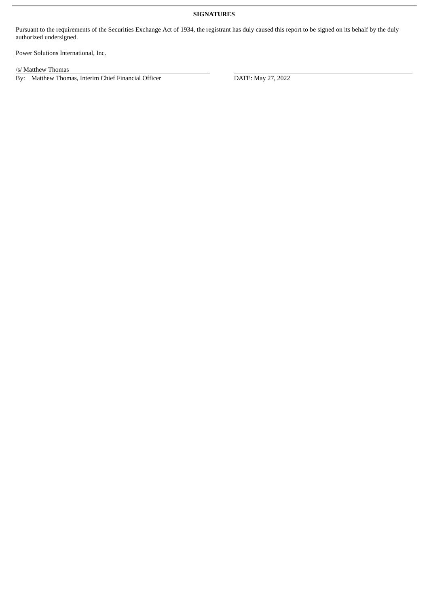## **SIGNATURES**

Pursuant to the requirements of the Securities Exchange Act of 1934, the registrant has duly caused this report to be signed on its behalf by the duly authorized undersigned.

Power Solutions International, Inc.

/s/ Matthew Thomas

By: Matthew Thomas, Interim Chief Financial Officer DATE: May 27, 2022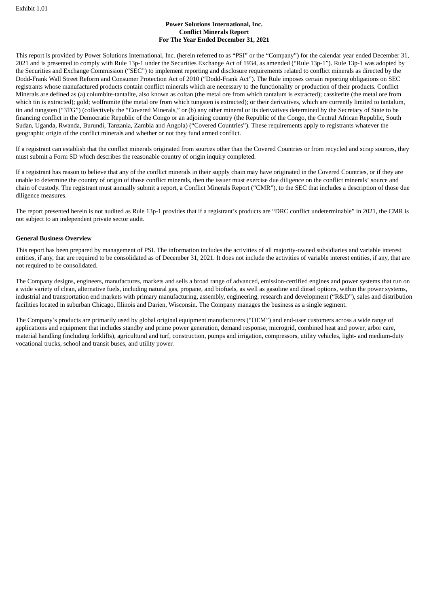## **Power Solutions International, Inc. Conflict Minerals Report For The Year Ended December 31, 2021**

This report is provided by Power Solutions International, Inc. (herein referred to as "PSI" or the "Company") for the calendar year ended December 31, 2021 and is presented to comply with Rule 13p-1 under the Securities Exchange Act of 1934, as amended ("Rule 13p-1"). Rule 13p-1 was adopted by the Securities and Exchange Commission ("SEC") to implement reporting and disclosure requirements related to conflict minerals as directed by the Dodd-Frank Wall Street Reform and Consumer Protection Act of 2010 ("Dodd-Frank Act"). The Rule imposes certain reporting obligations on SEC registrants whose manufactured products contain conflict minerals which are necessary to the functionality or production of their products. Conflict Minerals are defined as (a) columbite-tantalite, also known as coltan (the metal ore from which tantalum is extracted); cassiterite (the metal ore from which tin is extracted); gold; wolframite (the metal ore from which tungsten is extracted); or their derivatives, which are currently limited to tantalum, tin and tungsten ("3TG") (collectively the "Covered Minerals," or (b) any other mineral or its derivatives determined by the Secretary of State to be financing conflict in the Democratic Republic of the Congo or an adjoining country (the Republic of the Congo, the Central African Republic, South Sudan, Uganda, Rwanda, Burundi, Tanzania, Zambia and Angola) ("Covered Countries"). These requirements apply to registrants whatever the geographic origin of the conflict minerals and whether or not they fund armed conflict.

If a registrant can establish that the conflict minerals originated from sources other than the Covered Countries or from recycled and scrap sources, they must submit a Form SD which describes the reasonable country of origin inquiry completed.

If a registrant has reason to believe that any of the conflict minerals in their supply chain may have originated in the Covered Countries, or if they are unable to determine the country of origin of those conflict minerals, then the issuer must exercise due diligence on the conflict minerals' source and chain of custody. The registrant must annually submit a report, a Conflict Minerals Report ("CMR"), to the SEC that includes a description of those due diligence measures.

The report presented herein is not audited as Rule 13p-1 provides that if a registrant's products are "DRC conflict undeterminable" in 2021, the CMR is not subject to an independent private sector audit.

## **General Business Overview**

This report has been prepared by management of PSI. The information includes the activities of all majority-owned subsidiaries and variable interest entities, if any, that are required to be consolidated as of December 31, 2021. It does not include the activities of variable interest entities, if any, that are not required to be consolidated.

The Company designs, engineers, manufactures, markets and sells a broad range of advanced, emission-certified engines and power systems that run on a wide variety of clean, alternative fuels, including natural gas, propane, and biofuels, as well as gasoline and diesel options, within the power systems, industrial and transportation end markets with primary manufacturing, assembly, engineering, research and development ("R&D"), sales and distribution facilities located in suburban Chicago, Illinois and Darien, Wisconsin. The Company manages the business as a single segment.

The Company's products are primarily used by global original equipment manufacturers ("OEM") and end-user customers across a wide range of applications and equipment that includes standby and prime power generation, demand response, microgrid, combined heat and power, arbor care, material handling (including forklifts), agricultural and turf, construction, pumps and irrigation, compressors, utility vehicles, light- and medium-duty vocational trucks, school and transit buses, and utility power.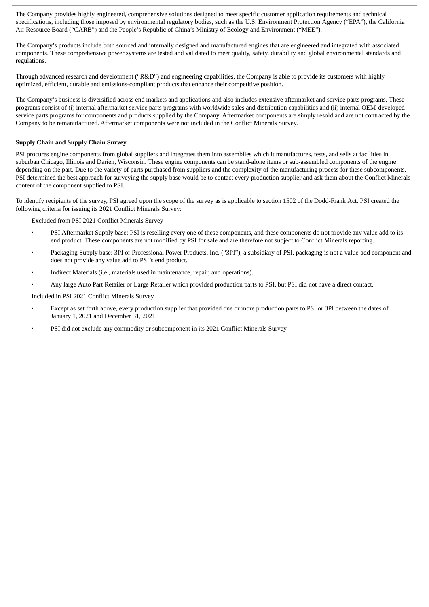The Company provides highly engineered, comprehensive solutions designed to meet specific customer application requirements and technical specifications, including those imposed by environmental regulatory bodies, such as the U.S. Environment Protection Agency ("EPA"), the California Air Resource Board ("CARB") and the People's Republic of China's Ministry of Ecology and Environment ("MEE").

The Company's products include both sourced and internally designed and manufactured engines that are engineered and integrated with associated components. These comprehensive power systems are tested and validated to meet quality, safety, durability and global environmental standards and regulations.

Through advanced research and development ("R&D") and engineering capabilities, the Company is able to provide its customers with highly optimized, efficient, durable and emissions-compliant products that enhance their competitive position.

The Company's business is diversified across end markets and applications and also includes extensive aftermarket and service parts programs. These programs consist of (i) internal aftermarket service parts programs with worldwide sales and distribution capabilities and (ii) internal OEM-developed service parts programs for components and products supplied by the Company. Aftermarket components are simply resold and are not contracted by the Company to be remanufactured. Aftermarket components were not included in the Conflict Minerals Survey.

## **Supply Chain and Supply Chain Survey**

PSI procures engine components from global suppliers and integrates them into assemblies which it manufactures, tests, and sells at facilities in suburban Chicago, Illinois and Darien, Wisconsin. These engine components can be stand-alone items or sub-assembled components of the engine depending on the part. Due to the variety of parts purchased from suppliers and the complexity of the manufacturing process for these subcomponents, PSI determined the best approach for surveying the supply base would be to contact every production supplier and ask them about the Conflict Minerals content of the component supplied to PSI.

To identify recipients of the survey, PSI agreed upon the scope of the survey as is applicable to section 1502 of the Dodd-Frank Act. PSI created the following criteria for issuing its 2021 Conflict Minerals Survey:

Excluded from PSI 2021 Conflict Minerals Survey

- PSI Aftermarket Supply base: PSI is reselling every one of these components, and these components do not provide any value add to its end product. These components are not modified by PSI for sale and are therefore not subject to Conflict Minerals reporting.
- Packaging Supply base: 3PI or Professional Power Products, Inc. ("3PI"), a subsidiary of PSI, packaging is not a value-add component and does not provide any value add to PSI's end product.
- Indirect Materials (i.e., materials used in maintenance, repair, and operations).
- Any large Auto Part Retailer or Large Retailer which provided production parts to PSI, but PSI did not have a direct contact.

Included in PSI 2021 Conflict Minerals Survey

- Except as set forth above, every production supplier that provided one or more production parts to PSI or 3PI between the dates of January 1, 2021 and December 31, 2021.
- PSI did not exclude any commodity or subcomponent in its 2021 Conflict Minerals Survey.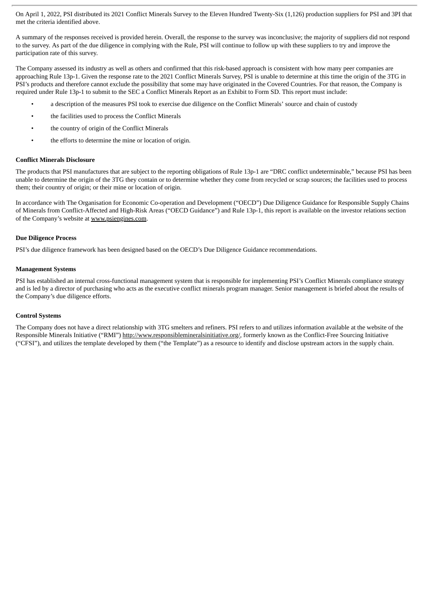On April 1, 2022, PSI distributed its 2021 Conflict Minerals Survey to the Eleven Hundred Twenty-Six (1,126) production suppliers for PSI and 3PI that met the criteria identified above.

A summary of the responses received is provided herein. Overall, the response to the survey was inconclusive; the majority of suppliers did not respond to the survey. As part of the due diligence in complying with the Rule, PSI will continue to follow up with these suppliers to try and improve the participation rate of this survey.

The Company assessed its industry as well as others and confirmed that this risk-based approach is consistent with how many peer companies are approaching Rule 13p-1. Given the response rate to the 2021 Conflict Minerals Survey, PSI is unable to determine at this time the origin of the 3TG in PSI's products and therefore cannot exclude the possibility that some may have originated in the Covered Countries. For that reason, the Company is required under Rule 13p-1 to submit to the SEC a Conflict Minerals Report as an Exhibit to Form SD. This report must include:

- a description of the measures PSI took to exercise due diligence on the Conflict Minerals' source and chain of custody
- the facilities used to process the Conflict Minerals
- the country of origin of the Conflict Minerals
- the efforts to determine the mine or location of origin.

#### **Conflict Minerals Disclosure**

The products that PSI manufactures that are subject to the reporting obligations of Rule 13p-1 are "DRC conflict undeterminable," because PSI has been unable to determine the origin of the 3TG they contain or to determine whether they come from recycled or scrap sources; the facilities used to process them; their country of origin; or their mine or location of origin.

In accordance with The Organisation for Economic Co-operation and Development ("OECD") Due Diligence Guidance for Responsible Supply Chains of Minerals from Conflict-Affected and High-Risk Areas ("OECD Guidance") and Rule 13p-1, this report is available on the investor relations section of the Company's website at www.psiengines.com.

#### **Due Diligence Process**

PSI's due diligence framework has been designed based on the OECD's Due Diligence Guidance recommendations.

#### **Management Systems**

PSI has established an internal cross-functional management system that is responsible for implementing PSI's Conflict Minerals compliance strategy and is led by a director of purchasing who acts as the executive conflict minerals program manager. Senior management is briefed about the results of the Company's due diligence efforts.

#### **Control Systems**

The Company does not have a direct relationship with 3TG smelters and refiners. PSI refers to and utilizes information available at the website of the Responsible Minerals Initiative ("RMI") http://www.responsiblemineralsinitiative.org/, formerly known as the Conflict-Free Sourcing Initiative ("CFSI"), and utilizes the template developed by them ("the Template") as a resource to identify and disclose upstream actors in the supply chain.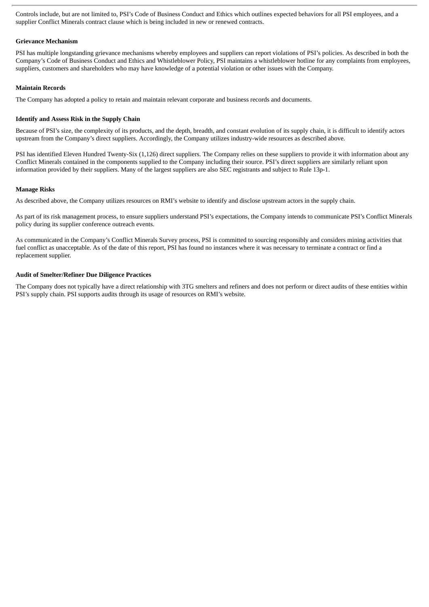Controls include, but are not limited to, PSI's Code of Business Conduct and Ethics which outlines expected behaviors for all PSI employees, and a supplier Conflict Minerals contract clause which is being included in new or renewed contracts.

## **Grievance Mechanism**

PSI has multiple longstanding grievance mechanisms whereby employees and suppliers can report violations of PSI's policies. As described in both the Company's Code of Business Conduct and Ethics and Whistleblower Policy, PSI maintains a whistleblower hotline for any complaints from employees, suppliers, customers and shareholders who may have knowledge of a potential violation or other issues with the Company.

## **Maintain Records**

The Company has adopted a policy to retain and maintain relevant corporate and business records and documents.

## **Identify and Assess Risk in the Supply Chain**

Because of PSI's size, the complexity of its products, and the depth, breadth, and constant evolution of its supply chain, it is difficult to identify actors upstream from the Company's direct suppliers. Accordingly, the Company utilizes industry-wide resources as described above.

PSI has identified Eleven Hundred Twenty-Six (1,126) direct suppliers. The Company relies on these suppliers to provide it with information about any Conflict Minerals contained in the components supplied to the Company including their source. PSI's direct suppliers are similarly reliant upon information provided by their suppliers. Many of the largest suppliers are also SEC registrants and subject to Rule 13p-1.

## **Manage Risks**

As described above, the Company utilizes resources on RMI's website to identify and disclose upstream actors in the supply chain.

As part of its risk management process, to ensure suppliers understand PSI's expectations, the Company intends to communicate PSI's Conflict Minerals policy during its supplier conference outreach events.

As communicated in the Company's Conflict Minerals Survey process, PSI is committed to sourcing responsibly and considers mining activities that fuel conflict as unacceptable. As of the date of this report, PSI has found no instances where it was necessary to terminate a contract or find a replacement supplier.

## **Audit of Smelter/Refiner Due Diligence Practices**

The Company does not typically have a direct relationship with 3TG smelters and refiners and does not perform or direct audits of these entities within PSI's supply chain. PSI supports audits through its usage of resources on RMI's website.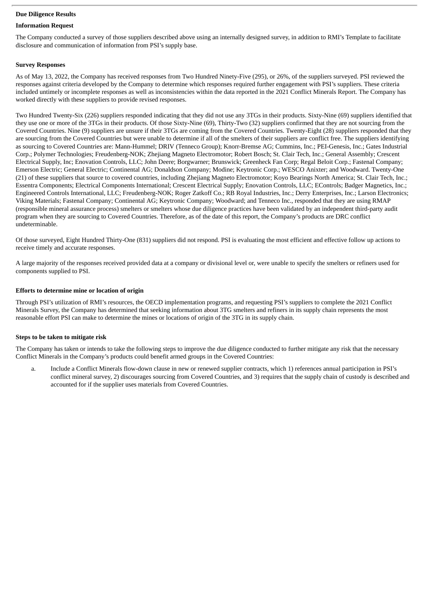## **Due Diligence Results**

## **Information Request**

The Company conducted a survey of those suppliers described above using an internally designed survey, in addition to RMI's Template to facilitate disclosure and communication of information from PSI's supply base.

## **Survey Responses**

As of May 13, 2022, the Company has received responses from Two Hundred Ninety-Five (295), or 26%, of the suppliers surveyed. PSI reviewed the responses against criteria developed by the Company to determine which responses required further engagement with PSI's suppliers. These criteria included untimely or incomplete responses as well as inconsistencies within the data reported in the 2021 Conflict Minerals Report. The Company has worked directly with these suppliers to provide revised responses.

Two Hundred Twenty-Six (226) suppliers responded indicating that they did not use any 3TGs in their products. Sixty-Nine (69) suppliers identified that they use one or more of the 3TGs in their products. Of those Sixty-Nine (69), Thirty-Two (32) suppliers confirmed that they are not sourcing from the Covered Countries. Nine (9) suppliers are unsure if their 3TGs are coming from the Covered Countries. Twenty-Eight (28) suppliers responded that they are sourcing from the Covered Countries but were unable to determine if all of the smelters of their suppliers are conflict free. The suppliers identifying as sourcing to Covered Countries are: Mann-Hummel; DRIV (Tenneco Group); Knorr-Bremse AG; Cummins, Inc.; PEI-Genesis, Inc.; Gates Industrial Corp.; Polymer Technologies; Freudenberg-NOK; Zhejiang Magneto Electromotor; Robert Bosch; St. Clair Tech, Inc.; General Assembly; Crescent Electrical Supply, Inc; Enovation Controls, LLC; John Deere; Borgwarner; Brunswick; Greenheck Fan Corp; Regal Beloit Corp.; Fastenal Company; Emerson Electric; General Electric; Continental AG; Donaldson Company; Modine; Keytronic Corp.; WESCO Anixter; and Woodward. Twenty-One (21) of these suppliers that source to covered countries, including Zhejiang Magneto Electromotor; Koyo Bearings North America; St. Clair Tech, Inc.; Essentra Components; Electrical Components International; Crescent Electrical Supply; Enovation Controls, LLC; EControls; Badger Magnetics, Inc.; Engineered Controls International, LLC; Freudenberg-NOK; Roger Zatkoff Co.; RB Royal Industries, Inc.; Derry Enterprises, Inc.; Larson Electronics; Viking Materials; Fastenal Company; Continental AG; Keytronic Company; Woodward; and Tenneco Inc., responded that they are using RMAP (responsible mineral assurance process) smelters or smelters whose due diligence practices have been validated by an independent third-party audit program when they are sourcing to Covered Countries. Therefore, as of the date of this report, the Company's products are DRC conflict undeterminable.

Of those surveyed, Eight Hundred Thirty-One (831) suppliers did not respond. PSI is evaluating the most efficient and effective follow up actions to receive timely and accurate responses.

A large majority of the responses received provided data at a company or divisional level or, were unable to specify the smelters or refiners used for components supplied to PSI.

#### **Efforts to determine mine or location of origin**

Through PSI's utilization of RMI's resources, the OECD implementation programs, and requesting PSI's suppliers to complete the 2021 Conflict Minerals Survey, the Company has determined that seeking information about 3TG smelters and refiners in its supply chain represents the most reasonable effort PSI can make to determine the mines or locations of origin of the 3TG in its supply chain.

## **Steps to be taken to mitigate risk**

The Company has taken or intends to take the following steps to improve the due diligence conducted to further mitigate any risk that the necessary Conflict Minerals in the Company's products could benefit armed groups in the Covered Countries:

a. Include a Conflict Minerals flow-down clause in new or renewed supplier contracts, which 1) references annual participation in PSI's conflict mineral survey, 2) discourages sourcing from Covered Countries, and 3) requires that the supply chain of custody is described and accounted for if the supplier uses materials from Covered Countries.